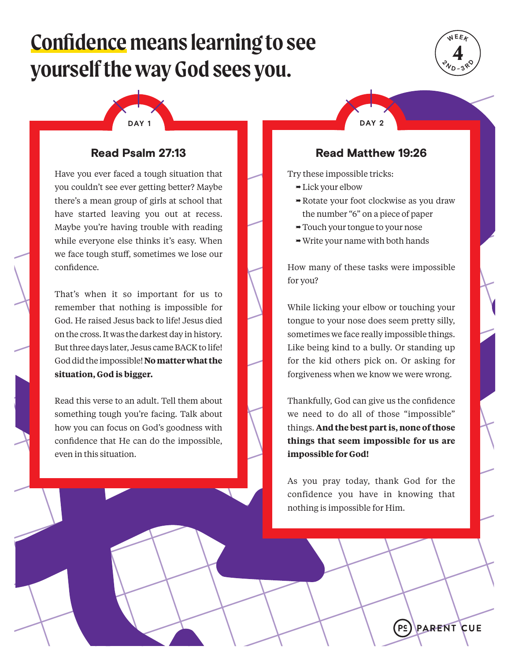# **Confidence means learning to see yourself the way God sees you.**





# Read Psalm 27:13

Have you ever faced a tough situation that you couldn't see ever getting better? Maybe there's a mean group of girls at school that have started leaving you out at recess. Maybe you're having trouble with reading while everyone else thinks it's easy. When we face tough stuff, sometimes we lose our confidence.

That's when it so important for us to remember that nothing is impossible for God. He raised Jesus back to life! Jesus died on the cross. It was the darkest day in history. But three days later, Jesus came BACK to life! God did the impossible! **No matter what the situation, God is bigger.** 

Read this verse to an adult. Tell them about something tough you're facing. Talk about how you can focus on God's goodness with confidence that He can do the impossible, even in this situation.

### Read Matthew 19:26

Try these impossible tricks:

- $\rightarrow$  Lick your elbow
- Rotate your foot clockwise as you draw the number "6" on a piece of paper
- Touch your tongue to your nose
- $\rightarrow$  Write your name with both hands

How many of these tasks were impossible for you?

While licking your elbow or touching your tongue to your nose does seem pretty silly, sometimes we face really impossible things. Like being kind to a bully. Or standing up for the kid others pick on. Or asking for forgiveness when we know we were wrong.

Thankfully, God can give us the confidence we need to do all of those "impossible" things. **And the best part is, none of those things that seem impossible for us are impossible for God!**

As you pray today, thank God for the confidence you have in knowing that nothing is impossible for Him.

> PS **ARENT CUE**